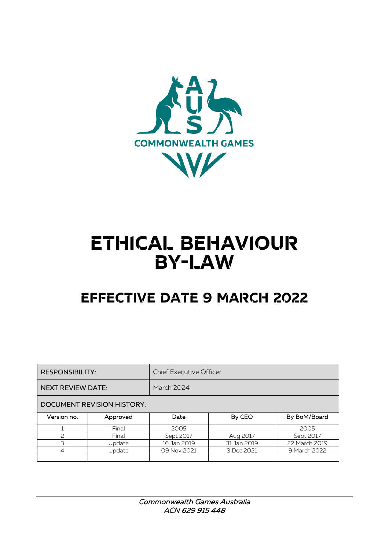

# **ETHICAL BEHAVIOUR BY-LAW**

# **EFFECTIVE DATE 9 MARCH 2022**

| <b>RESPONSIBILITY:</b>            |          | <b>Chief Executive Officer</b> |             |               |
|-----------------------------------|----------|--------------------------------|-------------|---------------|
| <b>NEXT REVIEW DATE:</b>          |          | March 2024                     |             |               |
| <b>DOCUMENT REVISION HISTORY:</b> |          |                                |             |               |
| Version no.                       | Approved | Date                           | By CEO      | By BoM/Board  |
|                                   | Final    | 2005                           |             | 2005          |
| $\overline{\phantom{0}}$          | Final    | Sept 2017                      | Aug 2017    | Sept 2017     |
| ς                                 | Update   | 16 Jan 2019                    | 31 Jan 2019 | 22 March 2019 |
| 4                                 | Update   | 09 Nov 2021                    | 3 Dec 2021  | 9 March 2022  |
|                                   |          |                                |             |               |

Commonwealth Games Australia ACN 629 915 448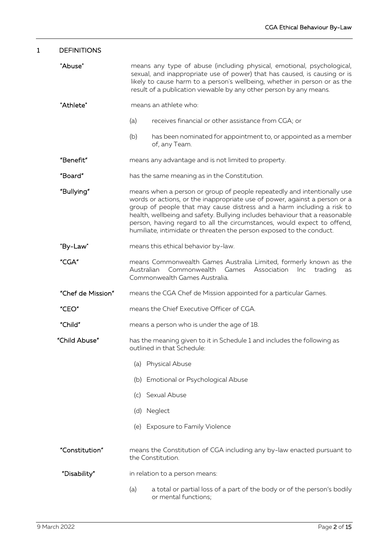| $\mathbf 1$                         | <b>DEFINITIONS</b> |                                                                                                                                                                                                                                                                                                                                                                                                                                                                   |  |  |
|-------------------------------------|--------------------|-------------------------------------------------------------------------------------------------------------------------------------------------------------------------------------------------------------------------------------------------------------------------------------------------------------------------------------------------------------------------------------------------------------------------------------------------------------------|--|--|
|                                     | "Abuse"            | means any type of abuse (including physical, emotional, psychological,<br>sexual, and inappropriate use of power) that has caused, is causing or is<br>likely to cause harm to a person's wellbeing, whether in person or as the<br>result of a publication viewable by any other person by any means.                                                                                                                                                            |  |  |
|                                     | "Athlete"          | means an athlete who:                                                                                                                                                                                                                                                                                                                                                                                                                                             |  |  |
|                                     |                    | (a)<br>receives financial or other assistance from CGA; or                                                                                                                                                                                                                                                                                                                                                                                                        |  |  |
|                                     |                    | (b)<br>has been nominated for appointment to, or appointed as a member<br>of, any Team.                                                                                                                                                                                                                                                                                                                                                                           |  |  |
|                                     | "Benefit"          | means any advantage and is not limited to property.                                                                                                                                                                                                                                                                                                                                                                                                               |  |  |
|                                     | "Board"            | has the same meaning as in the Constitution.                                                                                                                                                                                                                                                                                                                                                                                                                      |  |  |
|                                     | "Bullying"         | means when a person or group of people repeatedly and intentionally use<br>words or actions, or the inappropriate use of power, against a person or a<br>group of people that may cause distress and a harm including a risk to<br>health, wellbeing and safety. Bullying includes behaviour that a reasonable<br>person, having regard to all the circumstances, would expect to offend,<br>humiliate, intimidate or threaten the person exposed to the conduct. |  |  |
|                                     | "By-Law"           | means this ethical behavior by-law.                                                                                                                                                                                                                                                                                                                                                                                                                               |  |  |
|                                     | "CGA"              | means Commonwealth Games Australia Limited, formerly known as the<br>Australian<br>Commonwealth Games<br>Association<br>trading<br>Inc<br>as<br>Commonwealth Games Australia.                                                                                                                                                                                                                                                                                     |  |  |
|                                     | "Chef de Mission"  | means the CGA Chef de Mission appointed for a particular Games.                                                                                                                                                                                                                                                                                                                                                                                                   |  |  |
|                                     | "CEO"              | means the Chief Executive Officer of CGA.                                                                                                                                                                                                                                                                                                                                                                                                                         |  |  |
|                                     | "Child"            | means a person who is under the age of 18.                                                                                                                                                                                                                                                                                                                                                                                                                        |  |  |
|                                     | "Child Abuse"      | has the meaning given to it in Schedule 1 and includes the following as<br>outlined in that Schedule:                                                                                                                                                                                                                                                                                                                                                             |  |  |
|                                     |                    | (a) Physical Abuse                                                                                                                                                                                                                                                                                                                                                                                                                                                |  |  |
|                                     |                    | (b) Emotional or Psychological Abuse                                                                                                                                                                                                                                                                                                                                                                                                                              |  |  |
|                                     |                    | (c) Sexual Abuse                                                                                                                                                                                                                                                                                                                                                                                                                                                  |  |  |
|                                     |                    | (d) Neglect                                                                                                                                                                                                                                                                                                                                                                                                                                                       |  |  |
|                                     |                    | (e) Exposure to Family Violence                                                                                                                                                                                                                                                                                                                                                                                                                                   |  |  |
| "Constitution"<br>the Constitution. |                    | means the Constitution of CGA including any by-law enacted pursuant to                                                                                                                                                                                                                                                                                                                                                                                            |  |  |
|                                     | "Disability"       | in relation to a person means:                                                                                                                                                                                                                                                                                                                                                                                                                                    |  |  |
|                                     |                    | a total or partial loss of a part of the body or of the person's bodily<br>(a)<br>or mental functions;                                                                                                                                                                                                                                                                                                                                                            |  |  |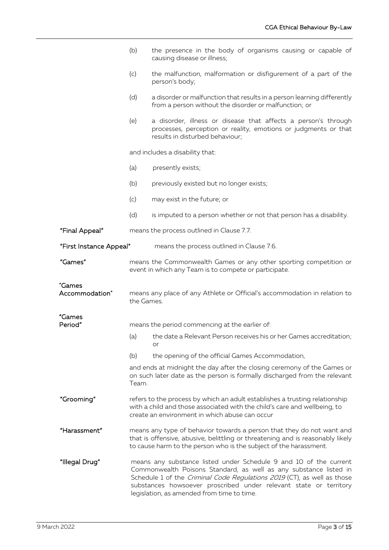|                          | (b)                                                                                                                                                                                                                                                                                                                                  | the presence in the body of organisms causing or capable of<br>causing disease or illness;                                                                           |
|--------------------------|--------------------------------------------------------------------------------------------------------------------------------------------------------------------------------------------------------------------------------------------------------------------------------------------------------------------------------------|----------------------------------------------------------------------------------------------------------------------------------------------------------------------|
|                          | (c)                                                                                                                                                                                                                                                                                                                                  | the malfunction, malformation or disfigurement of a part of the<br>person's body;                                                                                    |
|                          | (d)                                                                                                                                                                                                                                                                                                                                  | a disorder or malfunction that results in a person learning differently<br>from a person without the disorder or malfunction; or                                     |
|                          | (e)                                                                                                                                                                                                                                                                                                                                  | a disorder, illness or disease that affects a person's through<br>processes, perception or reality, emotions or judgments or that<br>results in disturbed behaviour; |
|                          | and includes a disability that:                                                                                                                                                                                                                                                                                                      |                                                                                                                                                                      |
|                          | (a)                                                                                                                                                                                                                                                                                                                                  | presently exists;                                                                                                                                                    |
|                          | (b)                                                                                                                                                                                                                                                                                                                                  | previously existed but no longer exists;                                                                                                                             |
|                          | (c)                                                                                                                                                                                                                                                                                                                                  | may exist in the future; or                                                                                                                                          |
|                          | (d)                                                                                                                                                                                                                                                                                                                                  | is imputed to a person whether or not that person has a disability.                                                                                                  |
| "Final Appeal"           |                                                                                                                                                                                                                                                                                                                                      | means the process outlined in Clause 7.7.                                                                                                                            |
| "First Instance Appeal"  |                                                                                                                                                                                                                                                                                                                                      | means the process outlined in Clause 7.6.                                                                                                                            |
| "Games"                  |                                                                                                                                                                                                                                                                                                                                      | means the Commonwealth Games or any other sporting competition or<br>event in which any Team is to compete or participate.                                           |
| "Games<br>Accommodation" | means any place of any Athlete or Official's accommodation in relation to<br>the Games.                                                                                                                                                                                                                                              |                                                                                                                                                                      |
| "Games<br>Period"        |                                                                                                                                                                                                                                                                                                                                      | means the period commencing at the earlier of:                                                                                                                       |
|                          |                                                                                                                                                                                                                                                                                                                                      | (a) the date a Relevant Person receives his or her Games accreditation;                                                                                              |
|                          | (b)                                                                                                                                                                                                                                                                                                                                  | or<br>the opening of the official Games Accommodation,                                                                                                               |
|                          | Team.                                                                                                                                                                                                                                                                                                                                | and ends at midnight the day after the closing ceremony of the Games or<br>on such later date as the person is formally discharged from the relevant                 |
| "Grooming"               | refers to the process by which an adult establishes a trusting relationship<br>with a child and those associated with the child's care and wellbeing, to<br>create an environment in which abuse can occur                                                                                                                           |                                                                                                                                                                      |
| "Harassment"             | means any type of behavior towards a person that they do not want and<br>that is offensive, abusive, belittling or threatening and is reasonably likely<br>to cause harm to the person who is the subject of the harassment.                                                                                                         |                                                                                                                                                                      |
| "Illegal Drug"           | means any substance listed under Schedule 9 and 10 of the current<br>Commonwealth Poisons Standard, as well as any substance listed in<br>Schedule 1 of the Criminal Code Regulations 2019 (CT), as well as those<br>substances howsoever proscribed under relevant state or territory<br>legislation, as amended from time to time. |                                                                                                                                                                      |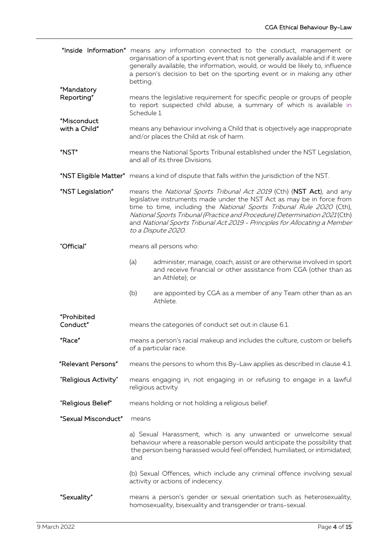|                              | "Inside Information" means any information connected to the conduct, management or<br>organisation of a sporting event that is not generally available and if it were<br>generally available, the information, would, or would be likely to, influence<br>a person's decision to bet on the sporting event or in making any other<br>betting.                                                            |  |
|------------------------------|----------------------------------------------------------------------------------------------------------------------------------------------------------------------------------------------------------------------------------------------------------------------------------------------------------------------------------------------------------------------------------------------------------|--|
| "Mandatory<br>Reporting"     | means the legislative requirement for specific people or groups of people<br>to report suspected child abuse, a summary of which is available in<br>Schedule 1.                                                                                                                                                                                                                                          |  |
| "Misconduct<br>with a Child" | means any behaviour involving a Child that is objectively age inappropriate<br>and/or places the Child at risk of harm.                                                                                                                                                                                                                                                                                  |  |
| "NST"                        | means the National Sports Tribunal established under the NST Legislation,<br>and all of its three Divisions.                                                                                                                                                                                                                                                                                             |  |
|                              | "NST Eligible Matter" means a kind of dispute that falls within the jurisdiction of the NST.                                                                                                                                                                                                                                                                                                             |  |
| "NST Legislation"            | means the National Sports Tribunal Act 2019 (Cth) (NST Act), and any<br>legislative instruments made under the NST Act as may be in force from<br>time to time, including the National Sports Tribunal Rule 2020 (Cth),<br>National Sports Tribunal (Practice and Procedure) Determination 2021(Cth)<br>and National Sports Tribunal Act 2019 - Principles for Allocating a Member<br>to a Dispute 2020. |  |
| "Official"                   | means all persons who:                                                                                                                                                                                                                                                                                                                                                                                   |  |
|                              | (a)<br>administer, manage, coach, assist or are otherwise involved in sport<br>and receive financial or other assistance from CGA (other than as<br>an Athlete); or                                                                                                                                                                                                                                      |  |
|                              | (b)<br>are appointed by CGA as a member of any Team other than as an<br>Athlete.                                                                                                                                                                                                                                                                                                                         |  |
| "Prohibited<br>Conduct"      | means the categories of conduct set out in clause 6.1.                                                                                                                                                                                                                                                                                                                                                   |  |
| "Race"                       | means a person's racial makeup and includes the culture, custom or beliefs<br>of a particular race.                                                                                                                                                                                                                                                                                                      |  |
| "Relevant Persons"           | means the persons to whom this By-Law applies as described in clause 4.1.                                                                                                                                                                                                                                                                                                                                |  |
| "Religious Activity"         | means engaging in, not engaging in or refusing to engage in a lawful<br>religious activity                                                                                                                                                                                                                                                                                                               |  |
| "Religious Belief"           | means holding or not holding a religious belief.                                                                                                                                                                                                                                                                                                                                                         |  |
| "Sexual Misconduct"          | means                                                                                                                                                                                                                                                                                                                                                                                                    |  |
|                              | a) Sexual Harassment, which is any unwanted or unwelcome sexual<br>behaviour where a reasonable person would anticipate the possibility that<br>the person being harassed would feel offended, humiliated, or intimidated;<br>and                                                                                                                                                                        |  |
|                              | (b) Sexual Offences, which include any criminal offence involving sexual<br>activity or actions of indecency.                                                                                                                                                                                                                                                                                            |  |
| "Sexuality"                  | means a person's gender or sexual orientation such as heterosexuality,<br>homosexuality, bisexuality and transgender or trans-sexual.                                                                                                                                                                                                                                                                    |  |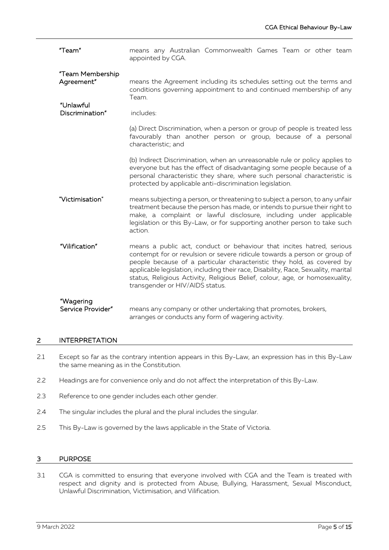| "Team"                                      | means any Australian Commonwealth Games Team or other team<br>appointed by CGA.                                                                                                                                                                                                                                                                                                                                                       |  |  |
|---------------------------------------------|---------------------------------------------------------------------------------------------------------------------------------------------------------------------------------------------------------------------------------------------------------------------------------------------------------------------------------------------------------------------------------------------------------------------------------------|--|--|
| "Team Membership<br>Agreement"<br>"Unlawful | means the Agreement including its schedules setting out the terms and<br>conditions governing appointment to and continued membership of any<br>Team.                                                                                                                                                                                                                                                                                 |  |  |
| Discrimination"                             | includes:                                                                                                                                                                                                                                                                                                                                                                                                                             |  |  |
|                                             | (a) Direct Discrimination, when a person or group of people is treated less<br>favourably than another person or group, because of a personal<br>characteristic; and                                                                                                                                                                                                                                                                  |  |  |
|                                             | (b) Indirect Discrimination, when an unreasonable rule or policy applies to<br>everyone but has the effect of disadvantaging some people because of a<br>personal characteristic they share, where such personal characteristic is<br>protected by applicable anti-discrimination legislation.                                                                                                                                        |  |  |
| "Victimisation"                             | means subjecting a person, or threatening to subject a person, to any unfair<br>treatment because the person has made, or intends to pursue their right to<br>make, a complaint or lawful disclosure, including under applicable<br>legislation or this By-Law, or for supporting another person to take such<br>action.                                                                                                              |  |  |
| "Vilification"                              | means a public act, conduct or behaviour that incites hatred, serious<br>contempt for or revulsion or severe ridicule towards a person or group of<br>people because of a particular characteristic they hold, as covered by<br>applicable legislation, including their race, Disability, Race, Sexuality, marital<br>status, Religious Activity, Religious Belief, colour, age, or homosexuality,<br>transgender or HIV/AIDS status. |  |  |
| "Wagering<br>Service Provider"              | means any company or other undertaking that promotes, brokers,<br>arranges or conducts any form of wagering activity.                                                                                                                                                                                                                                                                                                                 |  |  |

# 2 INTERPRETATION

- 2.1 Except so far as the contrary intention appears in this By-Law, an expression has in this By-Law the same meaning as in the Constitution.
- 2.2 Headings are for convenience only and do not affect the interpretation of this By-Law.
- 2.3 Reference to one gender includes each other gender.
- 2.4 The singular includes the plural and the plural includes the singular.
- 2.5 This By-Law is governed by the laws applicable in the State of Victoria.

# 3 PURPOSE

3.1 CGA is committed to ensuring that everyone involved with CGA and the Team is treated with respect and dignity and is protected from Abuse, Bullying, Harassment, Sexual Misconduct, Unlawful Discrimination, Victimisation, and Vilification.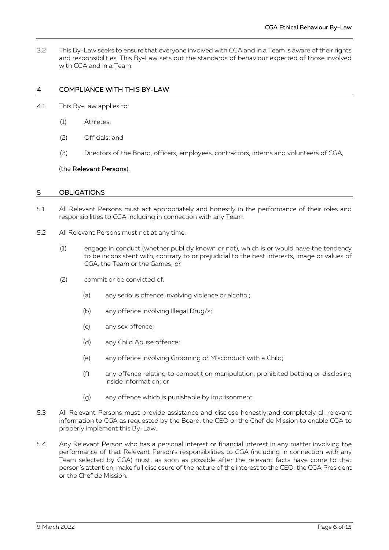3.2 This By-Law seeks to ensure that everyone involved with CGA and in a Team is aware of their rights and responsibilities. This By-Law sets out the standards of behaviour expected of those involved with CGA and in a Team.

# 4 COMPLIANCE WITH THIS BY-LAW

- <span id="page-5-0"></span>4.1 This By-Law applies to:
	- (1) Athletes;
	- (2) Officials; and
	- (3) Directors of the Board, officers, employees, contractors, interns and volunteers of CGA,

#### (the Relevant Persons).

#### 5 OBLIGATIONS

- 5.1 All Relevant Persons must act appropriately and honestly in the performance of their roles and responsibilities to CGA including in connection with any Team.
- 5.2 All Relevant Persons must not at any time:
	- (1) engage in conduct (whether publicly known or not), which is or would have the tendency to be inconsistent with, contrary to or prejudicial to the best interests, image or values of CGA, the Team or the Games; or
	- (2) commit or be convicted of:
		- (a) any serious offence involving violence or alcohol;
		- (b) any offence involving Illegal Drug/s;
		- (c) any sex offence;
		- (d) any Child Abuse offence;
		- (e) any offence involving Grooming or Misconduct with a Child;
		- (f) any offence relating to competition manipulation, prohibited betting or disclosing inside information; or
		- (g) any offence which is punishable by imprisonment.
- 5.3 All Relevant Persons must provide assistance and disclose honestly and completely all relevant information to CGA as requested by the Board, the CEO or the Chef de Mission to enable CGA to properly implement this By-Law.
- 5.4 Any Relevant Person who has a personal interest or financial interest in any matter involving the performance of that Relevant Person's responsibilities to CGA (including in connection with any Team selected by CGA) must, as soon as possible after the relevant facts have come to that person's attention, make full disclosure of the nature of the interest to the CEO, the CGA President or the Chef de Mission.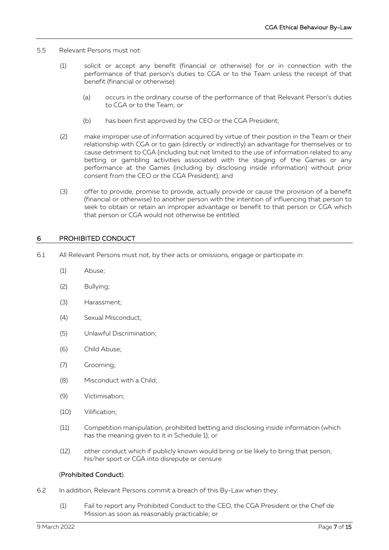- 5.5 Relevant Persons must not:
	- (1) solicit or accept any benefit (financial or otherwise) for or in connection with the performance of that person's duties to CGA or to the Team unless the receipt of that benefit (financial or otherwise):
		- (a) occurs in the ordinary course of the performance of that Relevant Person's duties to CGA or to the Team; or
		- (b) has been first approved by the CEO or the CGA President;
	- (2) make improper use of information acquired by virtue of their position in the Team or their relationship with CGA or to gain (directly or indirectly) an advantage for themselves or to cause detriment to CGA (including but not limited to the use of information related to any betting or gambling activities associated with the staging of the Games or any performance at the Games (including by disclosing inside information) without prior consent from the CEO or the CGA President); and
	- (3) offer to provide, promise to provide, actually provide or cause the provision of a benefit (financial or otherwise) to another person with the intention of influencing that person to seek to obtain or retain an improper advantage or benefit to that person or CGA which that person or CGA would not otherwise be entitled.

# <span id="page-6-0"></span>6 PROHIBITED CONDUCT

- 6.1 All Relevant Persons must not, by their acts or omissions, engage or participate in:
	- (1) Abuse;
	- (2) Bullying;
	- (3) Harassment;
	- (4) Sexual Misconduct;
	- (5) Unlawful Discrimination;
	- (6) Child Abuse;
	- (7) Grooming;
	- (8) Misconduct with a Child;
	- (9) Victimisation;
	- (10) Vilification;
	- (11) Competition manipulation, prohibited betting and disclosing inside information (which has the meaning given to it in Schedule 1); or
	- (12) other conduct which if publicly known would bring or be likely to bring that person, his/her sport or CGA into disrepute or censure

#### (Prohibited Conduct).

- 6.2 In addition, Relevant Persons commit a breach of this By-Law when they:
	- (1) Fail to report any Prohibited Conduct to the CEO, the CGA President or the Chef de Mission as soon as reasonably practicable; or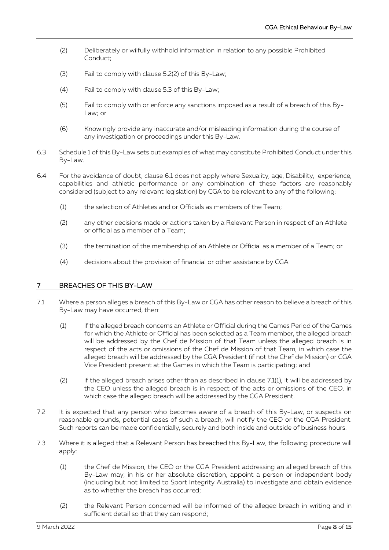- (2) Deliberately or wilfully withhold information in relation to any possible Prohibited Conduct;
- (3) Fail to comply with clause 5.2(2) of this By-Law;
- (4) Fail to comply with clause 5.3 of this By-Law;
- (5) Fail to comply with or enforce any sanctions imposed as a result of a breach of this By-Law; or
- (6) Knowingly provide any inaccurate and/or misleading information during the course of any investigation or proceedings under this By-Law.
- 6.3 Schedule 1 of this By-Law sets out examples of what may constitute Prohibited Conduct under this By-Law.
- 6.4 For the avoidance of doubt, clause [6.1](#page-6-0) does not apply where Sexuality, age, Disability, experience, capabilities and athletic performance or any combination of these factors are reasonably considered (subject to any relevant legislation) by CGA to be relevant to any of the following:
	- (1) the selection of Athletes and or Officials as members of the Team;
	- (2) any other decisions made or actions taken by a Relevant Person in respect of an Athlete or official as a member of a Team;
	- (3) the termination of the membership of an Athlete or Official as a member of a Team; or
	- (4) decisions about the provision of financial or other assistance by CGA.

# <span id="page-7-0"></span>7 BREACHES OF THIS BY-LAW

- <span id="page-7-1"></span>7.1 Where a person alleges a breach of this By-Law or CGA has other reason to believe a breach of this By-Law may have occurred, then:
	- (1) if the alleged breach concerns an Athlete or Official during the Games Period of the Games for which the Athlete or Official has been selected as a Team member, the alleged breach will be addressed by the Chef de Mission of that Team unless the alleged breach is in respect of the acts or omissions of the Chef de Mission of that Team, in which case the alleged breach will be addressed by the CGA President (if not the Chef de Mission) or CGA Vice President present at the Games in which the Team is participating; and
	- (2) if the alleged breach arises other than as described in clause [7.1](#page-7-0)[\(1\),](#page-7-1) it will be addressed by the CEO unless the alleged breach is in respect of the acts or omissions of the CEO, in which case the alleged breach will be addressed by the CGA President.
- 7.2 It is expected that any person who becomes aware of a breach of this By-Law, or suspects on reasonable grounds, potential cases of such a breach, will notify the CEO or the CGA President. Such reports can be made confidentially, securely and both inside and outside of business hours.
- <span id="page-7-3"></span><span id="page-7-2"></span>7.3 Where it is alleged that a Relevant Person has breached this By-Law, the following procedure will apply:
	- (1) the Chef de Mission, the CEO or the CGA President addressing an alleged breach of this By-Law may, in his or her absolute discretion, appoint a person or independent body (including but not limited to Sport Integrity Australia) to investigate and obtain evidence as to whether the breach has occurred;
	- (2) the Relevant Person concerned will be informed of the alleged breach in writing and in sufficient detail so that they can respond;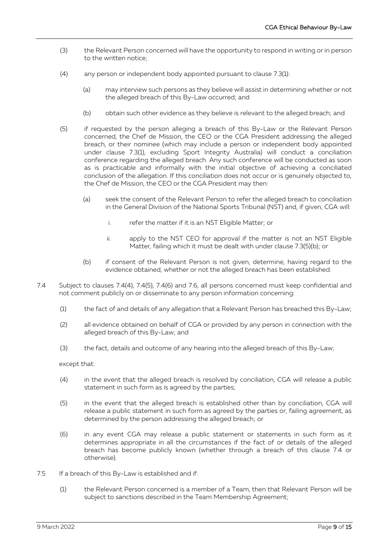- (3) the Relevant Person concerned will have the opportunity to respond in writing or in person to the written notice;
- (4) any person or independent body appointed pursuant to clause [7.3](#page-7-2)[\(1\):](#page-7-3)
	- (a) may interview such persons as they believe will assist in determining whether or not the alleged breach of this By-Law occurred; and
	- (b) obtain such other evidence as they believe is relevant to the alleged breach; and
- (5) if requested by the person alleging a breach of this By-Law or the Relevant Person concerned, the Chef de Mission, the CEO or the CGA President addressing the alleged breach, or their nominee (which may include a person or independent body appointed under clause 7.3(1), excluding Sport Integrity Australia) will conduct a conciliation conference regarding the alleged breach. Any such conference will be conducted as soon as is practicable and informally with the initial objective of achieving a conciliated conclusion of the allegation. If this conciliation does not occur or is genuinely objected to, the Chef de Mission, the CEO or the CGA President may then:
	- (a) seek the consent of the Relevant Person to refer the alleged breach to conciliation in the General Division of the National Sports Tribunal (NST) and, if given, CGA will:
		- i. refer the matter if it is an NST Eligible Matter; or
		- ii. apply to the NST CEO for approval if the matter is not an NST Eligible Matter, failing which it must be dealt with under clause 7.3(5)(b); or
	- (b) if consent of the Relevant Person is not given, determine, having regard to the evidence obtained, whether or not the alleged breach has been established.
- <span id="page-8-0"></span>7.4 Subject to clauses [7.4](#page-8-0)[\(4\),](#page-8-1) [7.4](#page-8-0)[\(5\),](#page-8-2) [7.4](#page-8-0)[\(6\)](#page-8-3) and 7.6, all persons concerned must keep confidential and not comment publicly on or disseminate to any person information concerning:
	- (1) the fact of and details of any allegation that a Relevant Person has breached this By-Law;
	- (2) all evidence obtained on behalf of CGA or provided by any person in connection with the alleged breach of this By-Law; and
	- (3) the fact, details and outcome of any hearing into the alleged breach of this By-Law;

<span id="page-8-1"></span>except that:

- (4) in the event that the alleged breach is resolved by conciliation, CGA will release a public statement in such form as is agreed by the parties;
- <span id="page-8-2"></span>(5) in the event that the alleged breach is established other than by conciliation, CGA will release a public statement in such form as agreed by the parties or, failing agreement, as determined by the person addressing the alleged breach; or
- <span id="page-8-3"></span>(6) in any event CGA may release a public statement or statements in such form as it determines appropriate in all the circumstances if the fact of or details of the alleged breach has become publicly known (whether through a breach of this clause [7.4](#page-8-0) or otherwise).
- 7.5 If a breach of this By-Law is established and if:
	- (1) the Relevant Person concerned is a member of a Team, then that Relevant Person will be subject to sanctions described in the Team Membership Agreement;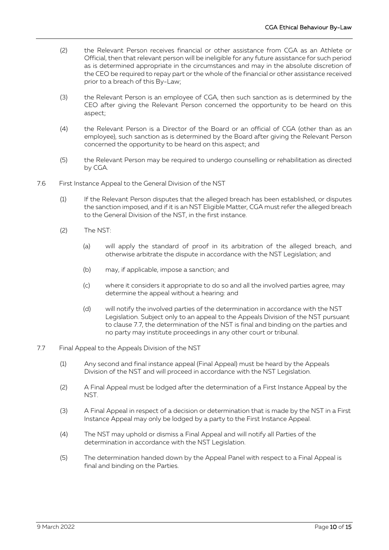- (2) the Relevant Person receives financial or other assistance from CGA as an Athlete or Official, then that relevant person will be ineligible for any future assistance for such period as is determined appropriate in the circumstances and may in the absolute discretion of the CEO be required to repay part or the whole of the financial or other assistance received prior to a breach of this By-Law;
- (3) the Relevant Person is an employee of CGA, then such sanction as is determined by the CEO after giving the Relevant Person concerned the opportunity to be heard on this aspect;
- (4) the Relevant Person is a Director of the Board or an official of CGA (other than as an employee), such sanction as is determined by the Board after giving the Relevant Person concerned the opportunity to be heard on this aspect; and
- (5) the Relevant Person may be required to undergo counselling or rehabilitation as directed by CGA.
- 7.6 First Instance Appeal to the General Division of the NST
	- (1) If the Relevant Person disputes that the alleged breach has been established, or disputes the sanction imposed, and if it is an NST Eligible Matter, CGA must refer the alleged breach to the General Division of the NST, in the first instance.
	- (2) The NST:
		- (a) will apply the standard of proof in its arbitration of the alleged breach, and otherwise arbitrate the dispute in accordance with the NST Legislation; and
		- (b) may, if applicable, impose a sanction; and
		- (c) where it considers it appropriate to do so and all the involved parties agree, may determine the appeal without a hearing: and
		- (d) will notify the involved parties of the determination in accordance with the NST Legislation. Subject only to an appeal to the Appeals Division of the NST pursuant to clause 7.7, the determination of the NST is final and binding on the parties and no party may institute proceedings in any other court or tribunal.
- 7.7 Final Appeal to the Appeals Division of the NST
	- (1) Any second and final instance appeal (Final Appeal) must be heard by the Appeals Division of the NST and will proceed in accordance with the NST Legislation.
	- (2) A Final Appeal must be lodged after the determination of a First Instance Appeal by the NST.
	- (3) A Final Appeal in respect of a decision or determination that is made by the NST in a First Instance Appeal may only be lodged by a party to the First Instance Appeal.
	- (4) The NST may uphold or dismiss a Final Appeal and will notify all Parties of the determination in accordance with the NST Legislation.
	- (5) The determination handed down by the Appeal Panel with respect to a Final Appeal is final and binding on the Parties.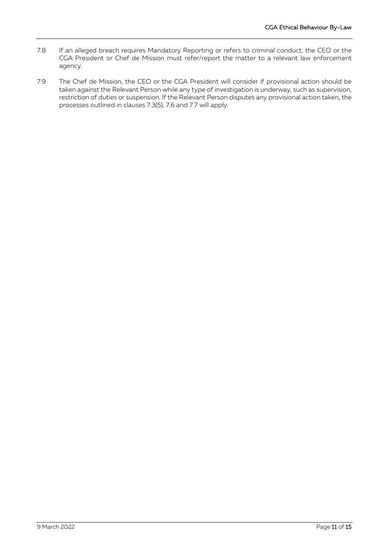- 7.8 If an alleged breach requires Mandatory Reporting or refers to criminal conduct, the CEO or the CGA President or Chef de Mission must refer/report the matter to a relevant law enforcement agency.
- 7.9 The Chef de Mission, the CEO or the CGA President will consider if provisional action should be taken against the Relevant Person while any type of investigation is underway, such as supervision, restriction of duties or suspension. If the Relevant Person disputes any provisional action taken, the processes outlined in clauses 7.3(5), 7.6 and 7.7 will apply.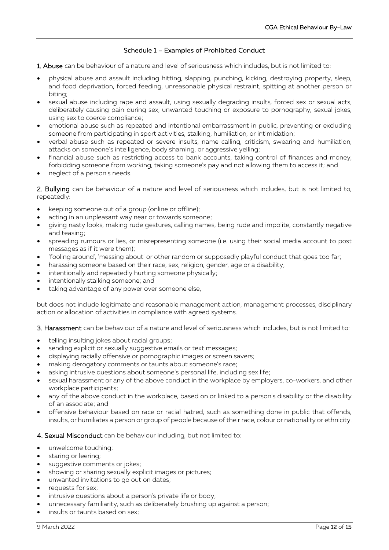# Schedule 1 – Examples of Prohibited Conduct

1. Abuse can be behaviour of a nature and level of seriousness which includes, but is not limited to:

- physical abuse and assault including hitting, slapping, punching, kicking, destroying property, sleep, and food deprivation, forced feeding, unreasonable physical restraint, spitting at another person or biting;
- sexual abuse including rape and assault, using sexually degrading insults, forced sex or sexual acts, deliberately causing pain during sex, unwanted touching or exposure to pornography, sexual jokes, using sex to coerce compliance;
- emotional abuse such as repeated and intentional embarrassment in public, preventing or excluding someone from participating in sport activities, stalking, humiliation, or intimidation;
- verbal abuse such as repeated or severe insults, name calling, criticism, swearing and humiliation, attacks on someone's intelligence, body shaming, or aggressive yelling;
- financial abuse such as restricting access to bank accounts, taking control of finances and money, forbidding someone from working, taking someone's pay and not allowing them to access it; and
- neglect of a person's needs.

2. Bullying can be behaviour of a nature and level of seriousness which includes, but is not limited to, repeatedly:

- keeping someone out of a group (online or offline);
- acting in an unpleasant way near or towards someone;
- giving nasty looks, making rude gestures, calling names, being rude and impolite, constantly negative and teasing;
- spreading rumours or lies, or misrepresenting someone (i.e. using their social media account to post messages as if it were them);
- 'fooling around', 'messing about' or other random or supposedly playful conduct that goes too far;
- harassing someone based on their race, sex, religion, gender, age or a disability;
- intentionally and repeatedly hurting someone physically;
- intentionally stalking someone; and
- taking advantage of any power over someone else,

but does not include legitimate and reasonable management action, management processes, disciplinary action or allocation of activities in compliance with agreed systems.

3. Harassment can be behaviour of a nature and level of seriousness which includes, but is not limited to:

- telling insulting jokes about racial groups;
- sending explicit or sexually suggestive emails or text messages;
- displaying racially offensive or pornographic images or screen savers;
- making derogatory comments or taunts about someone's race;
- asking intrusive questions about someone's personal life, including sex life;
- sexual harassment or any of the above conduct in the workplace by employers, co-workers, and other workplace participants;
- any of the above conduct in the workplace, based on or linked to a person's disability or the disability of an associate; and
- offensive behaviour based on race or racial hatred, such as something done in public that offends, insults, or humiliates a person or group of people because of their race, colour or nationality or ethnicity.

#### 4. Sexual Misconduct can be behaviour including, but not limited to:

- unwelcome touching;
- staring or leering;
- suggestive comments or jokes;
- showing or sharing sexually explicit images or pictures;
- unwanted invitations to go out on dates;
- requests for sex;
- intrusive questions about a person's private life or body;
- unnecessary familiarity, such as deliberately brushing up against a person;
- insults or taunts based on sex: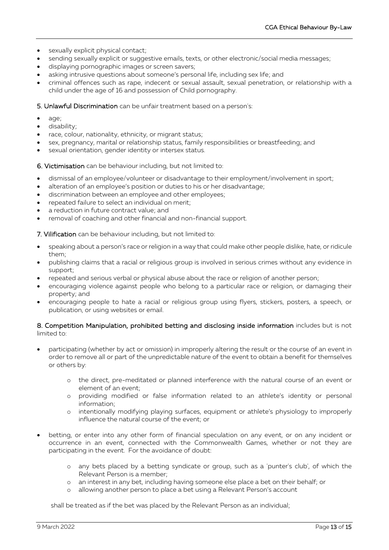- sexually explicit physical contact;
- sending sexually explicit or suggestive emails, texts, or other electronic/social media messages;
- displaying pornographic images or screen savers;
- asking intrusive questions about someone's personal life, including sex life; and
- criminal offences such as rape, indecent or sexual assault, sexual penetration, or relationship with a child under the age of 16 and possession of Child pornography.

5. Unlawful Discrimination can be unfair treatment based on a person's:

- age;
- disability;
- race, colour, nationality, ethnicity, or migrant status;
- sex, pregnancy, marital or relationship status, family responsibilities or breastfeeding; and
- sexual orientation, gender identity or intersex status.

6. Victimisation can be behaviour including, but not limited to:

- dismissal of an employee/volunteer or disadvantage to their employment/involvement in sport;
- alteration of an employee's position or duties to his or her disadvantage;
- discrimination between an employee and other employees;
- repeated failure to select an individual on merit;
- a reduction in future contract value; and
- removal of coaching and other financial and non-financial support.

7. Vilification can be behaviour including, but not limited to:

- speaking about a person's race or religion in a way that could make other people dislike, hate, or ridicule them;
- publishing claims that a racial or religious group is involved in serious crimes without any evidence in support;
- repeated and serious verbal or physical abuse about the race or religion of another person;
- encouraging violence against people who belong to a particular race or religion, or damaging their property; and
- encouraging people to hate a racial or religious group using flyers, stickers, posters, a speech, or publication, or using websites or email.

#### 8. Competition Manipulation, prohibited betting and disclosing inside information includes but is not limited to:

- participating (whether by act or omission) in improperly altering the result or the course of an event in order to remove all or part of the unpredictable nature of the event to obtain a benefit for themselves or others by:
	- o the direct, pre-meditated or planned interference with the natural course of an event or element of an event;
	- o providing modified or false information related to an athlete's identity or personal information;
	- o intentionally modifying playing surfaces, equipment or athlete's physiology to improperly influence the natural course of the event; or
- betting, or enter into any other form of financial speculation on any event, or on any incident or occurrence in an event, connected with the Commonwealth Games, whether or not they are participating in the event. For the avoidance of doubt:
	- o any bets placed by a betting syndicate or group, such as a 'punter's club', of which the Relevant Person is a member;
	- o an interest in any bet, including having someone else place a bet on their behalf; or
	- o allowing another person to place a bet using a Relevant Person's account

shall be treated as if the bet was placed by the Relevant Person as an individual;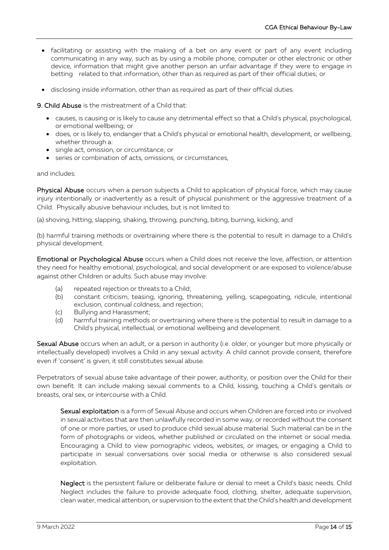- facilitating or assisting with the making of a bet on any event or part of any event including communicating in any way, such as by using a mobile phone, computer or other electronic or other device, information that might give another person an unfair advantage if they were to engage in betting related to that information, other than as required as part of their official duties; or
- disclosing inside information, other than as required as part of their official duties.

9. Child Abuse is the mistreatment of a Child that:

- causes, is causing or is likely to cause any detrimental effect so that a Child's physical, psychological, or emotional wellbeing; or
- does, or is likely to, endanger that a Child's physical or emotional health, development, or wellbeing, whether through a:
- single act, omission, or circumstance; or
- series or combination of acts, omissions, or circumstances,

#### and includes:

Physical Abuse occurs when a person subjects a Child to application of physical force, which may cause injury intentionally or inadvertently as a result of physical punishment or the aggressive treatment of a Child. Physically abusive behaviour includes, but is not limited to:

(a) shoving, hitting, slapping, shaking, throwing, punching, biting, burning, kicking; and

(b) harmful training methods or overtraining where there is the potential to result in damage to a Child's physical development.

Emotional or Psychological Abuse occurs when a Child does not receive the love, affection, or attention they need for healthy emotional, psychological, and social development or are exposed to violence/abuse against other Children or adults. Such abuse may involve:

- (a) repeated rejection or threats to a Child;
- (b) constant criticism, teasing, ignoring, threatening, yelling, scapegoating, ridicule, intentional exclusion, continual coldness, and rejection;
- (c) Bullying and Harassment;
- (d) harmful training methods or overtraining where there is the potential to result in damage to a Child's physical, intellectual, or emotional wellbeing and development.

Sexual Abuse occurs when an adult, or a person in authority (i.e. older, or younger but more physically or intellectually developed) involves a Child in any sexual activity. A child cannot provide consent, therefore even if 'consent' is given, it still constitutes sexual abuse.

Perpetrators of sexual abuse take advantage of their power, authority, or position over the Child for their own benefit. It can include making sexual comments to a Child, kissing, touching a Child's genitals or breasts, oral sex, or intercourse with a Child.

Sexual exploitation is a form of Sexual Abuse and occurs when Children are forced into or involved in sexual activities that are then unlawfully recorded in some way, or recorded without the consent of one or more parties, or used to produce child sexual abuse material. Such material can be in the form of photographs or videos, whether published or circulated on the internet or social media. Encouraging a Child to view pornographic videos, websites, or images, or engaging a Child to participate in sexual conversations over social media or otherwise is also considered sexual exploitation.

Neglect is the persistent failure or deliberate failure or denial to meet a Child's basic needs. Child Neglect includes the failure to provide adequate food, clothing, shelter, adequate supervision, clean water, medical attention, or supervision to the extent that the Child's health and development